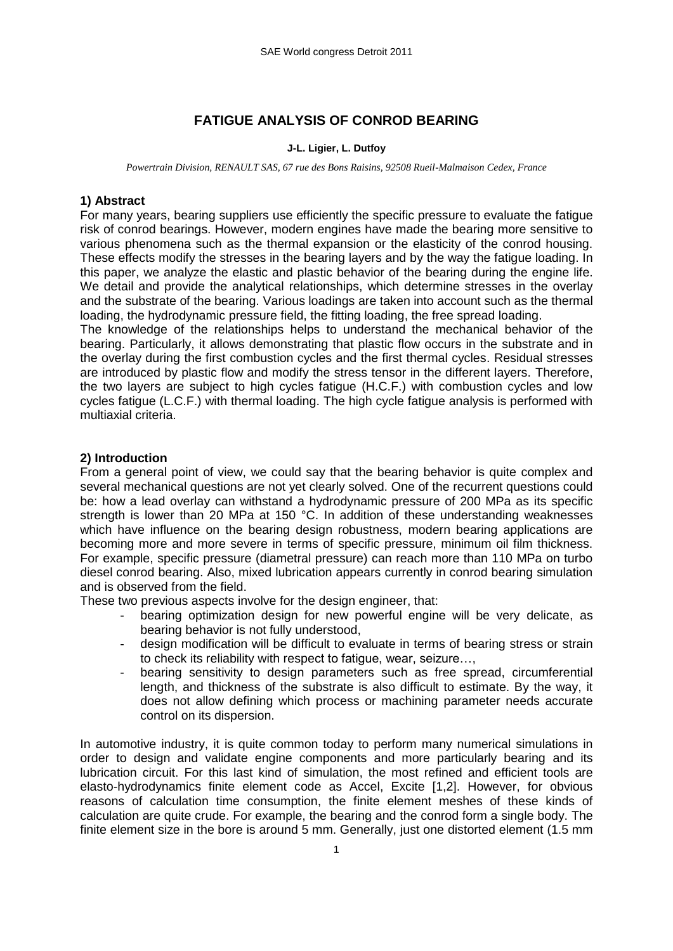# **FATIGUE ANALYSIS OF CONROD BEARING**

#### **J-L. Ligier, L. Dutfoy**

*Powertrain Division, RENAULT SAS, 67 rue des Bons Raisins, 92508 Rueil-Malmaison Cedex, France* 

### **1) Abstract**

For many years, bearing suppliers use efficiently the specific pressure to evaluate the fatigue risk of conrod bearings. However, modern engines have made the bearing more sensitive to various phenomena such as the thermal expansion or the elasticity of the conrod housing. These effects modify the stresses in the bearing layers and by the way the fatigue loading. In this paper, we analyze the elastic and plastic behavior of the bearing during the engine life. We detail and provide the analytical relationships, which determine stresses in the overlay and the substrate of the bearing. Various loadings are taken into account such as the thermal loading, the hydrodynamic pressure field, the fitting loading, the free spread loading.

The knowledge of the relationships helps to understand the mechanical behavior of the bearing. Particularly, it allows demonstrating that plastic flow occurs in the substrate and in the overlay during the first combustion cycles and the first thermal cycles. Residual stresses are introduced by plastic flow and modify the stress tensor in the different layers. Therefore, the two layers are subject to high cycles fatigue (H.C.F.) with combustion cycles and low cycles fatigue (L.C.F.) with thermal loading. The high cycle fatigue analysis is performed with multiaxial criteria.

### **2) Introduction**

From a general point of view, we could say that the bearing behavior is quite complex and several mechanical questions are not yet clearly solved. One of the recurrent questions could be: how a lead overlay can withstand a hydrodynamic pressure of 200 MPa as its specific strength is lower than 20 MPa at 150 °C. In addition of these understanding weaknesses which have influence on the bearing design robustness, modern bearing applications are becoming more and more severe in terms of specific pressure, minimum oil film thickness. For example, specific pressure (diametral pressure) can reach more than 110 MPa on turbo diesel conrod bearing. Also, mixed lubrication appears currently in conrod bearing simulation and is observed from the field.

These two previous aspects involve for the design engineer, that:

- bearing optimization design for new powerful engine will be very delicate, as bearing behavior is not fully understood,
- design modification will be difficult to evaluate in terms of bearing stress or strain to check its reliability with respect to fatigue, wear, seizure…,
- bearing sensitivity to design parameters such as free spread, circumferential length, and thickness of the substrate is also difficult to estimate. By the way, it does not allow defining which process or machining parameter needs accurate control on its dispersion.

In automotive industry, it is quite common today to perform many numerical simulations in order to design and validate engine components and more particularly bearing and its lubrication circuit. For this last kind of simulation, the most refined and efficient tools are elasto-hydrodynamics finite element code as Accel, Excite [1,2]. However, for obvious reasons of calculation time consumption, the finite element meshes of these kinds of calculation are quite crude. For example, the bearing and the conrod form a single body. The finite element size in the bore is around 5 mm. Generally, just one distorted element (1.5 mm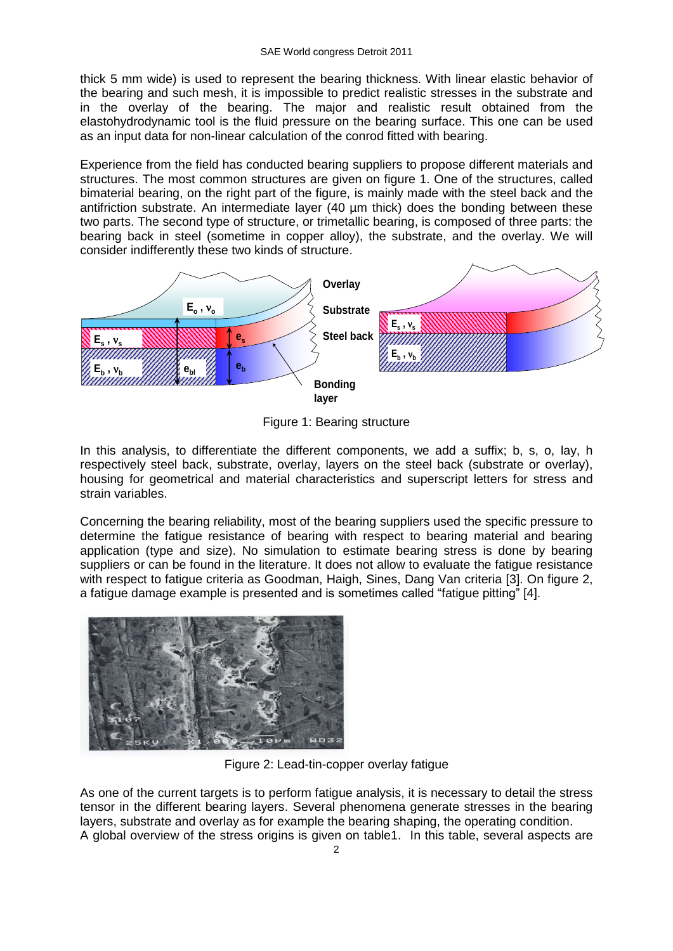thick 5 mm wide) is used to represent the bearing thickness. With linear elastic behavior of the bearing and such mesh, it is impossible to predict realistic stresses in the substrate and in the overlay of the bearing. The major and realistic result obtained from the elastohydrodynamic tool is the fluid pressure on the bearing surface. This one can be used as an input data for non-linear calculation of the conrod fitted with bearing.

Experience from the field has conducted bearing suppliers to propose different materials and structures. The most common structures are given on figure 1. One of the structures, called bimaterial bearing, on the right part of the figure, is mainly made with the steel back and the antifriction substrate. An intermediate layer (40 µm thick) does the bonding between these two parts. The second type of structure, or trimetallic bearing, is composed of three parts: the bearing back in steel (sometime in copper alloy), the substrate, and the overlay. We will consider indifferently these two kinds of structure.



Figure 1: Bearing structure

In this analysis, to differentiate the different components, we add a suffix; b, s, o, lay, h respectively steel back, substrate, overlay, layers on the steel back (substrate or overlay), housing for geometrical and material characteristics and superscript letters for stress and strain variables.

Concerning the bearing reliability, most of the bearing suppliers used the specific pressure to determine the fatigue resistance of bearing with respect to bearing material and bearing application (type and size). No simulation to estimate bearing stress is done by bearing suppliers or can be found in the literature. It does not allow to evaluate the fatigue resistance with respect to fatigue criteria as Goodman, Haigh, Sines, Dang Van criteria [3]. On figure 2, a fatigue damage example is presented and is sometimes called "fatigue pitting" [4].



Figure 2: Lead-tin-copper overlay fatigue

As one of the current targets is to perform fatigue analysis, it is necessary to detail the stress tensor in the different bearing layers. Several phenomena generate stresses in the bearing layers, substrate and overlay as for example the bearing shaping, the operating condition. A global overview of the stress origins is given on table1. In this table, several aspects are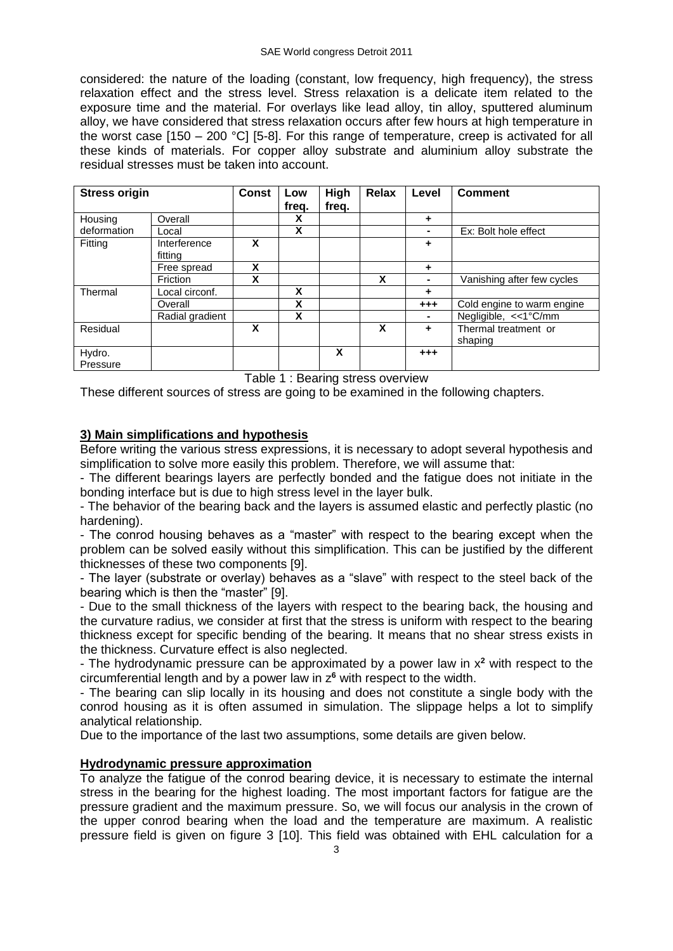considered: the nature of the loading (constant, low frequency, high frequency), the stress relaxation effect and the stress level. Stress relaxation is a delicate item related to the exposure time and the material. For overlays like lead alloy, tin alloy, sputtered aluminum alloy, we have considered that stress relaxation occurs after few hours at high temperature in the worst case  $[150 - 200 \degree C]$  [5-8]. For this range of temperature, creep is activated for all these kinds of materials. For copper alloy substrate and aluminium alloy substrate the residual stresses must be taken into account.

| <b>Stress origin</b> |                         | <b>Const</b> | Low<br>freq. | High<br>freq. | Relax | Level   | <b>Comment</b>                  |
|----------------------|-------------------------|--------------|--------------|---------------|-------|---------|---------------------------------|
| Housing              | Overall                 |              | X            |               |       | ٠       |                                 |
| deformation          | Local                   |              | X            |               |       | ۰       | Ex: Bolt hole effect            |
| Fitting              | Interference<br>fittina | X            |              |               |       | ٠       |                                 |
|                      | Free spread             | X            |              |               |       | ٠       |                                 |
|                      | Friction                | X            |              |               | X     | ۰       | Vanishing after few cycles      |
| Thermal              | Local circonf.          |              | X            |               |       | ٠       |                                 |
|                      | Overall                 |              | X            |               |       | $+ + +$ | Cold engine to warm engine      |
|                      | Radial gradient         |              | X            |               |       | ۰       | Negligible, <<1°C/mm            |
| Residual             |                         | X            |              |               | X     | ٠       | Thermal treatment or<br>shaping |
| Hydro.<br>Pressure   |                         |              |              | X             |       | $+ + +$ |                                 |

Table 1 : Bearing stress overview

These different sources of stress are going to be examined in the following chapters.

# **3) Main simplifications and hypothesis**

Before writing the various stress expressions, it is necessary to adopt several hypothesis and simplification to solve more easily this problem. Therefore, we will assume that:

- The different bearings layers are perfectly bonded and the fatigue does not initiate in the bonding interface but is due to high stress level in the layer bulk.

- The behavior of the bearing back and the layers is assumed elastic and perfectly plastic (no hardening).

- The conrod housing behaves as a "master" with respect to the bearing except when the problem can be solved easily without this simplification. This can be justified by the different thicknesses of these two components [9].

- The layer (substrate or overlay) behaves as a "slave" with respect to the steel back of the bearing which is then the "master" [9].

- Due to the small thickness of the layers with respect to the bearing back, the housing and the curvature radius, we consider at first that the stress is uniform with respect to the bearing thickness except for specific bending of the bearing. It means that no shear stress exists in the thickness. Curvature effect is also neglected.

- The hydrodynamic pressure can be approximated by a power law in x**<sup>2</sup>** with respect to the circumferential length and by a power law in z**<sup>6</sup>** with respect to the width.

- The bearing can slip locally in its housing and does not constitute a single body with the conrod housing as it is often assumed in simulation. The slippage helps a lot to simplify analytical relationship.

Due to the importance of the last two assumptions, some details are given below.

## **Hydrodynamic pressure approximation**

To analyze the fatigue of the conrod bearing device, it is necessary to estimate the internal stress in the bearing for the highest loading. The most important factors for fatigue are the pressure gradient and the maximum pressure. So, we will focus our analysis in the crown of the upper conrod bearing when the load and the temperature are maximum. A realistic pressure field is given on figure 3 [10]. This field was obtained with EHL calculation for a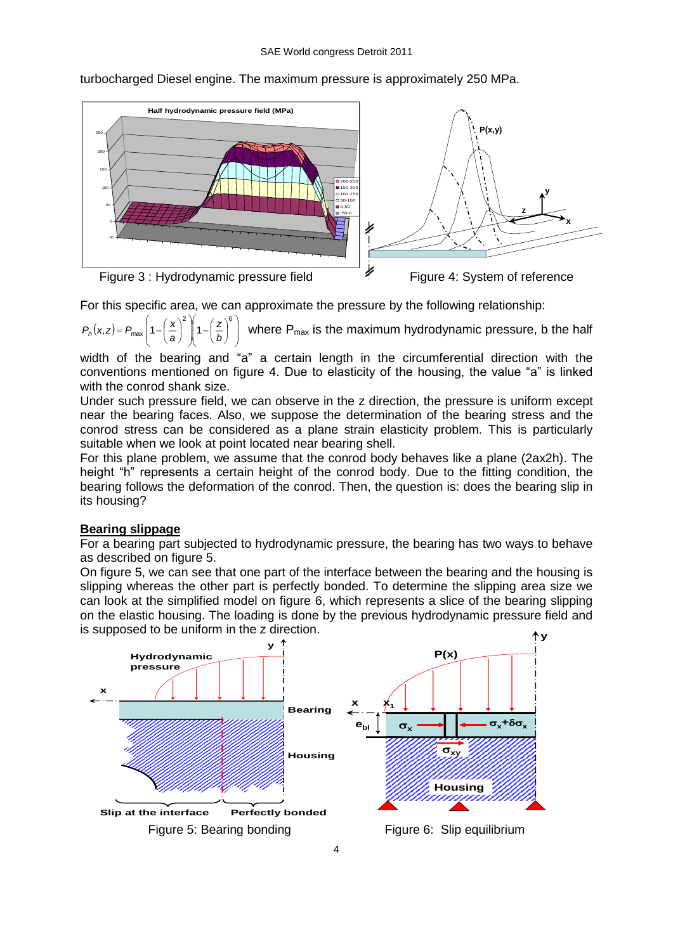

turbocharged Diesel engine. The maximum pressure is approximately 250 MPa.

For this specific area, we can approximate the pressure by the following relationship:

 $(x, z) = P_{\text{max}} \left[ 1 - \left( \frac{x}{a} \right) \right]$ I I  $\bigg)$ Ì  $\mathsf{I}$ l ſ I J  $\left(\frac{z}{z}\right)$ l  $\left(1-\right)$ l | ) I  $\mathsf{I}$ l ſ l J  $\binom{\mathbf{x}}{}$ l  $= P_{\text{max}} \left[ 1 - \right]$ 2  $\sqrt{}$   $\sqrt{6}$  $(a, z) = P_{\text{max}} \left[ 1 - \left( \frac{z}{a} \right) \right] \left[ 1 - \left( \frac{z}{b} \right) \right]$ *z a x <sup>P</sup><sup>h</sup> <sup>x</sup> <sup>z</sup> <sup>P</sup>* where Pmax is the maximum hydrodynamic pressure, b the half

width of the bearing and "a" a certain length in the circumferential direction with the conventions mentioned on figure 4. Due to elasticity of the housing, the value "a" is linked with the conrod shank size.

Under such pressure field, we can observe in the z direction, the pressure is uniform except near the bearing faces. Also, we suppose the determination of the bearing stress and the conrod stress can be considered as a plane strain elasticity problem. This is particularly suitable when we look at point located near bearing shell.

For this plane problem, we assume that the conrod body behaves like a plane (2ax2h). The height "h" represents a certain height of the conrod body. Due to the fitting condition, the bearing follows the deformation of the conrod. Then, the question is: does the bearing slip in its housing?

## **Bearing slippage**

For a bearing part subjected to hydrodynamic pressure, the bearing has two ways to behave as described on figure 5.

On figure 5, we can see that one part of the interface between the bearing and the housing is slipping whereas the other part is perfectly bonded. To determine the slipping area size we can look at the simplified model on figure 6, which represents a slice of the bearing slipping on the elastic housing. The loading is done by the previous hydrodynamic pressure field and is supposed to be uniform in the z direction.

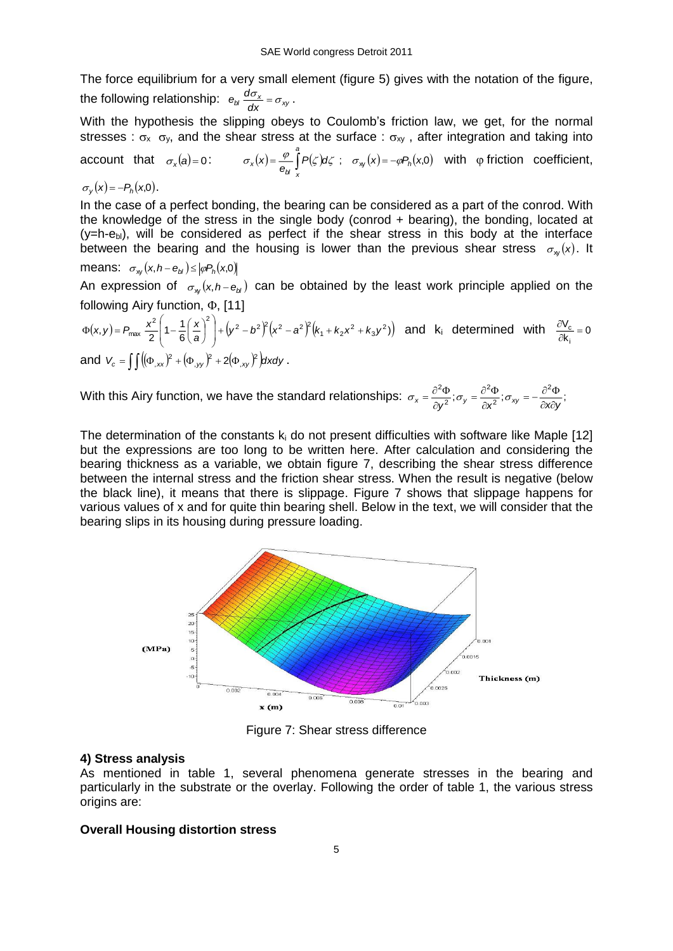The force equilibrium for a very small element (figure 5) gives with the notation of the figure, the following relationship:  $e_{bl} \frac{d\delta_{x}}{dx} = \sigma_{xy}$  $e_{bl} \frac{d\sigma_x}{dt} = \sigma_{xy}$ .

With the hypothesis the slipping obeys to Coulomb's friction law, we get, for the normal stresses :  $\sigma_x$   $\sigma_y$ , and the shear stress at the surface :  $\sigma_{xy}$ , after integration and taking into

account that  $\sigma_{\mathsf{x}}(\mathsf{a})\!=\!0$ :  $\sigma_x(x) = \frac{\varphi}{e_y} \int P(\zeta) d\zeta$ ;  $\sigma_{xy}(x) = -\varphi P_h(x,0)$ *a*  $\sigma_x(x) = \frac{\varphi}{e_b} \int_{x} P(\zeta) d\zeta$ ;  $\sigma_{xy}(x) = -\varphi P_h(x,0)$  with  $\varphi$  friction coefficient,

 $\sigma_{y}(x) = -P_{h}(x,0)$ .

In the case of a perfect bonding, the bearing can be considered as a part of the conrod. With the knowledge of the stress in the single body (conrod + bearing), the bonding, located at  $(y=h-e_{bl})$ , will be considered as perfect if the shear stress in this body at the interface between the bearing and the housing is lower than the previous shear stress  $\sigma_{\rm xy}(\mathsf{x})$ . It

means: 
$$
\sigma_{xy}(x, h - e_{bl}) \le |\varphi P_h(x, 0)|
$$

An expression of  $\sigma_w(x, h-e_{bi})$  can be obtained by the least work principle applied on the following Airy function,  $\Phi$ , [11]

$$
\Phi(x,y) = P_{\text{max}} \frac{x^2}{2} \left( 1 - \frac{1}{6} \left( \frac{x}{a} \right)^2 \right) + \left( y^2 - b^2 \right)^2 \left( x^2 - a^2 \right)^2 \left( k_1 + k_2 x^2 + k_3 y^2 \right) \quad \text{and} \quad k_i \text{ determined with } \frac{\partial V_c}{\partial k_i} = 0
$$
\n
$$
\text{and } V_c = \iint \left( (\Phi_{,xx})^2 + (\Phi_{,yy})^2 + 2(\Phi_{,xy})^2 \right) dx dy \, .
$$

With this Airy function, we have the standard relationships:  $\sigma_x = \frac{\partial^2 \Phi}{\partial x^2}$ ;  $\sigma_y = \frac{\partial^2 \Phi}{\partial y^2}$ ;  $\sigma_{xy} = -\frac{\partial^2 \Phi}{\partial x^2}$ ; 2 2 2 2  $\chi = \frac{\partial y^2}{\partial y^2}, \quad \delta y = \frac{\partial x^2}{\partial x^2}, \quad \delta xy = -\frac{\partial x \partial y}{\partial x \partial y}$  $\frac{\partial^2 \Phi}{\partial x^2}; \sigma_{xy} = -\frac{\partial^2 \Phi}{\partial x \partial y}$  $\frac{\partial^2 \Phi}{\partial y^2}; \sigma_y = \frac{\partial^2 \Phi}{\partial x^2}$  $\sigma_x = \frac{\partial^2 \Phi}{\partial x^2}; \sigma_y = \frac{\partial^2 \Phi}{\partial x^2}; \sigma_z$ 

The determination of the constants  $k_i$  do not present difficulties with software like Maple [12] but the expressions are too long to be written here. After calculation and considering the bearing thickness as a variable, we obtain figure 7, describing the shear stress difference between the internal stress and the friction shear stress. When the result is negative (below the black line), it means that there is slippage. Figure 7 shows that slippage happens for various values of x and for quite thin bearing shell. Below in the text, we will consider that the bearing slips in its housing during pressure loading.



Figure 7: Shear stress difference

### **4) Stress analysis**

As mentioned in table 1, several phenomena generate stresses in the bearing and particularly in the substrate or the overlay. Following the order of table 1, the various stress origins are:

### **Overall Housing distortion stress**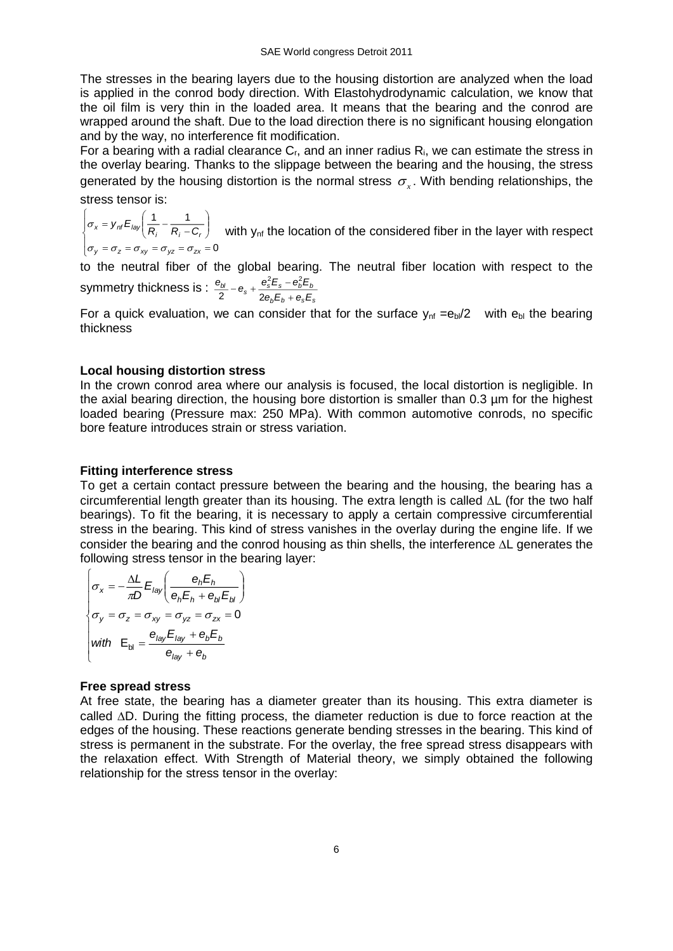The stresses in the bearing layers due to the housing distortion are analyzed when the load is applied in the conrod body direction. With Elastohydrodynamic calculation, we know that the oil film is very thin in the loaded area. It means that the bearing and the conrod are wrapped around the shaft. Due to the load direction there is no significant housing elongation and by the way, no interference fit modification.

For a bearing with a radial clearance  $C_r$ , and an inner radius  $R_i$ , we can estimate the stress in the overlay bearing. Thanks to the slippage between the bearing and the housing, the stress generated by the housing distortion is the normal stress  $\sigma_{\rm x}$ . With bending relationships, the stress tensor is:

I  $\sigma_y = \sigma_z = \sigma_{xy} = \sigma_{yz} = \sigma_{zx} =$ I ∤ ſ  $= 0 - 0 - 0 - 0 - 0 - 0 = 0 - 0$ J  $\backslash$  $\overline{\phantom{a}}$ l ſ =  $=$   $V_{ref}E_{int}$   $=$   $=$   $=$ 0 1 1  $\frac{1}{x}$  *z y nf*  $E_{\text{lay}}$   $\left( \frac{1}{R_i} - \frac{1}{R_i - C_r} \right)$  $\sigma_{\nu} = \sigma_{\tau} = \sigma_{\nu\sigma} = \sigma_{\nu\sigma} = \sigma$  $\sigma_x = y_{nt} E_{\text{lay}} \left( \frac{R_i - R_i - C_r}{R_i - C_r} \right)$  with y<sub>nf</sub> the location of the considered fiber in the layer with respect

to the neutral fiber of the global bearing. The neutral fiber location with respect to the symmetry thickness is :  $\frac{bI}{c}$  –  $\theta_s$  +  $\frac{\sigma_s L_s - \sigma_b L_b}{c}$  $\frac{\theta_{bl}}{\theta_{s}}$  –  $\theta_{s}$  +  $\frac{\theta_{s}^{2}E_{s}$  –  $\theta_{b}^{2}E_{s}$  $\frac{\sigma_{b1}}{2} - e_s + \frac{\sigma_s L_s - 1}{2e_b E_b + 1}$  $2 - 2$ 

For a quick evaluation, we can consider that for the surface  $y_{nf} = e_b/2$  with  $e_b$  the bearing thickness

*b b s s*

*e E e E*

 $^{+}$ 

#### **Local housing distortion stress**

In the crown conrod area where our analysis is focused, the local distortion is negligible. In the axial bearing direction, the housing bore distortion is smaller than 0.3 µm for the highest loaded bearing (Pressure max: 250 MPa). With common automotive conrods, no specific bore feature introduces strain or stress variation.

#### **Fitting interference stress**

To get a certain contact pressure between the bearing and the housing, the bearing has a circumferential length greater than its housing. The extra length is called  $\Delta L$  (for the two half bearings). To fit the bearing, it is necessary to apply a certain compressive circumferential stress in the bearing. This kind of stress vanishes in the overlay during the engine life. If we consider the bearing and the conrod housing as thin shells, the interference  $\Delta L$  generates the following stress tensor in the bearing layer:

$$
\begin{cases}\n\sigma_x = -\frac{\Delta L}{\pi D} E_{\text{lay}} \left( \frac{e_h E_h}{e_h E_h + e_b E_b} \right) \\
\sigma_y = \sigma_z = \sigma_{xy} = \sigma_{yz} = \sigma_{zx} = 0 \\
\text{with} \quad E_{\text{bl}} = \frac{e_{\text{lay}} E_{\text{lay}} + e_b E_b}{e_{\text{lay}} + e_b}\n\end{cases}
$$

#### **Free spread stress**

At free state, the bearing has a diameter greater than its housing. This extra diameter is called  $\Delta D$ . During the fitting process, the diameter reduction is due to force reaction at the edges of the housing. These reactions generate bending stresses in the bearing. This kind of stress is permanent in the substrate. For the overlay, the free spread stress disappears with the relaxation effect. With Strength of Material theory, we simply obtained the following relationship for the stress tensor in the overlay: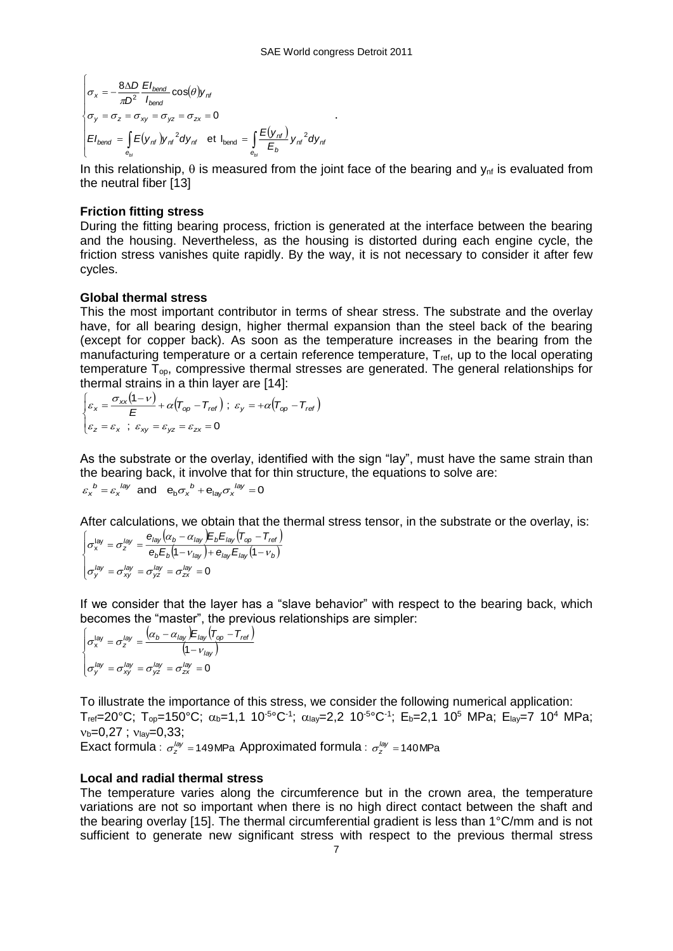$$
\begin{cases}\n\sigma_x = -\frac{8\Delta D}{\pi D^2} \frac{EI_{bend}}{I_{bend}} \cos(\theta) y_{nf} \\
\sigma_y = \sigma_z = \sigma_{xy} = \sigma_{yz} = \sigma_{zx} = 0 \\
EI_{bend} = \int_{\theta_{bl}} \frac{E(y_{nf})}{E_{bend}} y_{nf}^2 dy_{nf} \text{ et } I_{bend} = \int_{\theta_{bl}} \frac{E(y_{nf})}{E_b} y_{nf}^2 dy_{nf}
$$

In this relationship,  $\theta$  is measured from the joint face of the bearing and  $y_{\text{nf}}$  is evaluated from the neutral fiber [13]

.

#### **Friction fitting stress**

During the fitting bearing process, friction is generated at the interface between the bearing and the housing. Nevertheless, as the housing is distorted during each engine cycle, the friction stress vanishes quite rapidly. By the way, it is not necessary to consider it after few cycles.

#### **Global thermal stress**

This the most important contributor in terms of shear stress. The substrate and the overlay have, for all bearing design, higher thermal expansion than the steel back of the bearing (except for copper back). As soon as the temperature increases in the bearing from the manufacturing temperature or a certain reference temperature, T<sub>ref</sub>, up to the local operating temperature  $\bar{T}_{op}$ , compressive thermal stresses are generated. The general relationships for thermal strains in a thin layer are [14]:

$$
\begin{cases}\n\varepsilon_x = \frac{\sigma_{xx}(1-\nu)}{E} + \alpha (T_{\text{op}} - T_{\text{ref}}) ; \ \varepsilon_y = +\alpha (T_{\text{op}} - T_{\text{ref}}) \\
\varepsilon_z = \varepsilon_x ; \ \varepsilon_{xy} = \varepsilon_{yz} = \varepsilon_{zx} = 0\n\end{cases}
$$

As the substrate or the overlay, identified with the sign "lay", must have the same strain than the bearing back, it involve that for thin structure, the equations to solve are:  $\varepsilon_{\mathsf{x}}^{\phantom{\mathsf{b}}b} = \varepsilon_{\mathsf{x}}^{\phantom{\mathsf{b}b}q\mathsf{y}}$  and  $\mathsf{e}_{\mathsf{b}}\sigma_{\mathsf{x}}^{\phantom{\mathsf{b}}b} + \mathsf{e}_{\mathsf{lay}}\sigma_{\mathsf{x}}^{\phantom{\mathsf{b}b}q\mathsf{y}} = 0$ 

After calculations, we obtain that the thermal stress tensor, in the substrate or the overlay, is:

$$
\begin{cases}\n\sigma_{x}^{\text{lay}} = \sigma_{z}^{\text{lay}} = \frac{e_{\text{lay}}(\alpha_{b} - \alpha_{\text{lay}})E_{b}E_{\text{lay}}(T_{\text{op}} - T_{\text{ref}})}{e_{b}E_{b}(1 - v_{\text{lay}}) + e_{\text{lay}}E_{\text{lay}}(1 - v_{b})} \\
\sigma_{y}^{\text{lay}} = \sigma_{xy}^{\text{lay}} = \sigma_{yz}^{\text{lay}} = \sigma_{zx}^{\text{lay}} = 0\n\end{cases}
$$

If we consider that the layer has a "slave behavior" with respect to the bearing back, which becomes the "master", the previous relationships are simpler:

$$
\begin{cases}\n\sigma_{\mathsf{x}}^{\mathsf{lay}} = \sigma_{\mathsf{z}}^{\mathsf{lay}} = \frac{(\alpha_b - \alpha_{\mathsf{lay}}) E_{\mathsf{lay}} (\mathsf{T}_{\mathsf{op}} - \mathsf{T}_{\mathsf{ref}})}{(1 - \mathsf{v}_{\mathsf{lay}})} \\
\sigma_{\mathsf{y}}^{\mathsf{lay}} = \sigma_{\mathsf{x}\mathsf{y}}^{\mathsf{lay}} = \sigma_{\mathsf{y}\mathsf{z}}^{\mathsf{lay}} = \sigma_{\mathsf{zx}}^{\mathsf{lay}} = 0\n\end{cases}
$$

To illustrate the importance of this stress, we consider the following numerical application:  $T_{\text{ref}}$ =20°C;  $T_{\text{op}}$ =150°C;  $\alpha_{\text{b}}$ =1,1 10<sup>-5</sup>°C<sup>-1</sup>;  $\alpha_{\text{lay}}$ =2,2 10<sup>-5</sup>°C<sup>-1</sup>; E<sub>b</sub>=2,1 10<sup>5</sup> MPa; E<sub>lay</sub>=7 10<sup>4</sup> MPa;  $v_b=0.27$ ;  $v_{\text{lav}}=0.33$ ;

Exact formula :  $\sigma_z^{lag}$  = 149MPa Approximated formula :  $\sigma_z^{lag}$  = 140MPa

### **Local and radial thermal stress**

The temperature varies along the circumference but in the crown area, the temperature variations are not so important when there is no high direct contact between the shaft and the bearing overlay [15]. The thermal circumferential gradient is less than 1°C/mm and is not sufficient to generate new significant stress with respect to the previous thermal stress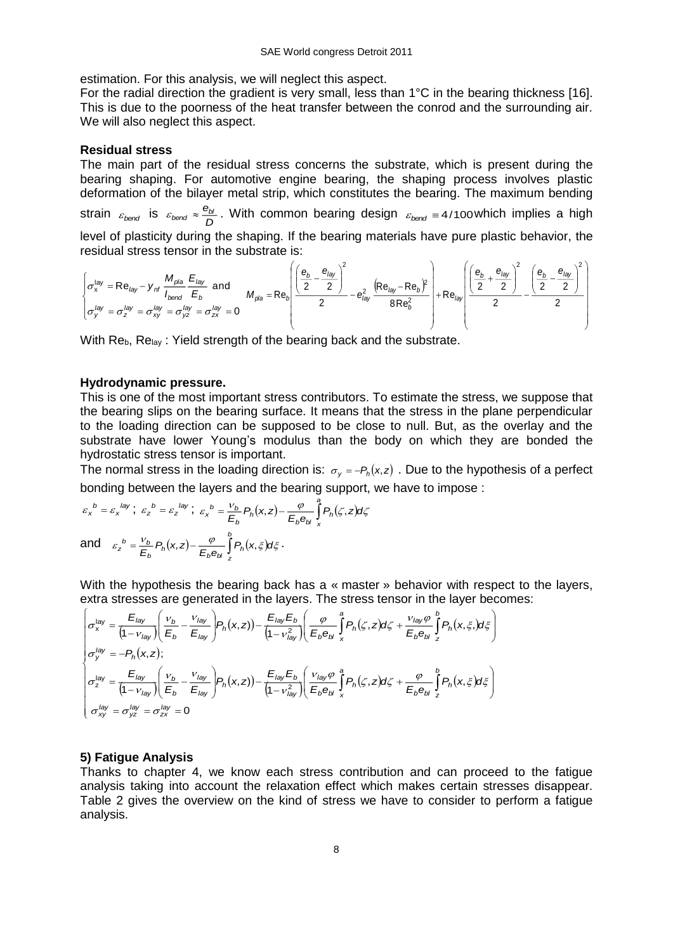estimation. For this analysis, we will neglect this aspect.

For the radial direction the gradient is very small, less than 1°C in the bearing thickness [16]. This is due to the poorness of the heat transfer between the conrod and the surrounding air. We will also neglect this aspect.

### **Residual stress**

The main part of the residual stress concerns the substrate, which is present during the bearing shaping. For automotive engine bearing, the shaping process involves plastic deformation of the bilayer metal strip, which constitutes the bearing. The maximum bending strain  $\varepsilon_{bend}$  is  $\varepsilon_{bend} \approx \frac{e_{bl}}{D}$ . With common bearing design  $\varepsilon_{bend} \equiv 4/100$  which implies a high

level of plasticity during the shaping. If the bearing materials have pure plastic behavior, the residual stress tensor in the substrate is:

$$
\begin{cases}\n\sigma_x^{\text{lay}} = \text{Re}_{\text{lay}} - y_{\text{nf}} \frac{M_{\text{pla}}}{I_{\text{bond}}} \frac{E_{\text{lay}}}{E_b} \text{ and } \\
\sigma_y^{\text{lay}} = \sigma_z^{\text{lay}} = \sigma_{xy}^{\text{lay}} = \sigma_{yz}^{\text{lay}} = \sigma_{zx}^{\text{lay}} = 0\n\end{cases}
$$
\n
$$
M_{\text{pla}} = \text{Re}_b \left( \frac{\left( \frac{e_b}{2} - \frac{e_{\text{lay}}}{2} \right)^2}{2} - \frac{e_{\text{lay}}^2}{8 \text{Re}_b^2} \right) + \text{Re}_{\text{lay}} \left( \frac{\left( \frac{e_b}{2} + \frac{e_{\text{lay}}}{2} \right)^2}{2} - \frac{\left( \frac{e_b}{2} - \frac{e_{\text{lay}}}{2} \right)^2}{2} \right)
$$

With  $\text{Re}_{b}$ ,  $\text{Re}_{\text{lav}}$ : Yield strength of the bearing back and the substrate.

#### **Hydrodynamic pressure.**

This is one of the most important stress contributors. To estimate the stress, we suppose that the bearing slips on the bearing surface. It means that the stress in the plane perpendicular to the loading direction can be supposed to be close to null. But, as the overlay and the substrate have lower Young's modulus than the body on which they are bonded the hydrostatic stress tensor is important.

The normal stress in the loading direction is:  $\sigma_y = -P_h(x, z)$  . Due to the hypothesis of a perfect bonding between the layers and the bearing support, we have to impose :

$$
\varepsilon_x^b = \varepsilon_x^{lay}; \ \varepsilon_z^b = \varepsilon_z^{lay}; \ \varepsilon_x^b = \frac{v_b}{E_b} P_h(x, z) - \frac{\varphi}{E_b e_{bl}} \int_x^a P_h(\zeta, z) d\zeta
$$
  
and 
$$
\varepsilon_z^b = \frac{v_b}{E_b} P_h(x, z) - \frac{\varphi}{E_b e_{bl}} \int_z^b P_h(x, \zeta) d\zeta.
$$

With the hypothesis the bearing back has a « master » behavior with respect to the layers, extra stresses are generated in the layers. The stress tensor in the layer becomes:

$$
\begin{cases}\n\sigma_x^{\text{lay}} = \frac{E_{\text{lay}}}{(1 - v_{\text{lay}})} \left( \frac{v_b}{E_b} - \frac{v_{\text{lay}}}{E_{\text{lay}}} \right) P_h(x, z) - \frac{E_{\text{lay}} E_b}{(1 - v_{\text{lay}}^2)} \left( \frac{\varphi}{E_b e_{bl}} \int_x^a P_h(\zeta, z) d\zeta + \frac{v_{\text{lay}} \varphi}{E_b e_{bl}} \int_z^b P_h(x, \zeta) d\zeta \right) \\
\sigma_y^{\text{lay}} = -P_h(x, z); \\
\sigma_z^{\text{lay}} = \frac{E_{\text{lay}}}{(1 - v_{\text{lay}})} \left( \frac{v_b}{E_b} - \frac{v_{\text{lay}}}{E_{\text{lay}}} \right) P_h(x, z) - \frac{E_{\text{lay}} E_b}{(1 - v_{\text{lay}}^2)} \left( \frac{v_{\text{lay}} \varphi}{E_b e_{bl}} \int_x^a P_h(\zeta, z) d\zeta + \frac{\varphi}{E_b e_{bl}} \int_z^b P_h(x, \zeta) d\zeta \right) \\
\sigma_{xy}^{\text{lay}} = \sigma_{yz}^{\text{lay}} = \sigma_{zx}^{\text{lay}} = 0\n\end{cases}
$$

### **5) Fatigue Analysis**

Thanks to chapter 4, we know each stress contribution and can proceed to the fatigue analysis taking into account the relaxation effect which makes certain stresses disappear. Table 2 gives the overview on the kind of stress we have to consider to perform a fatigue analysis.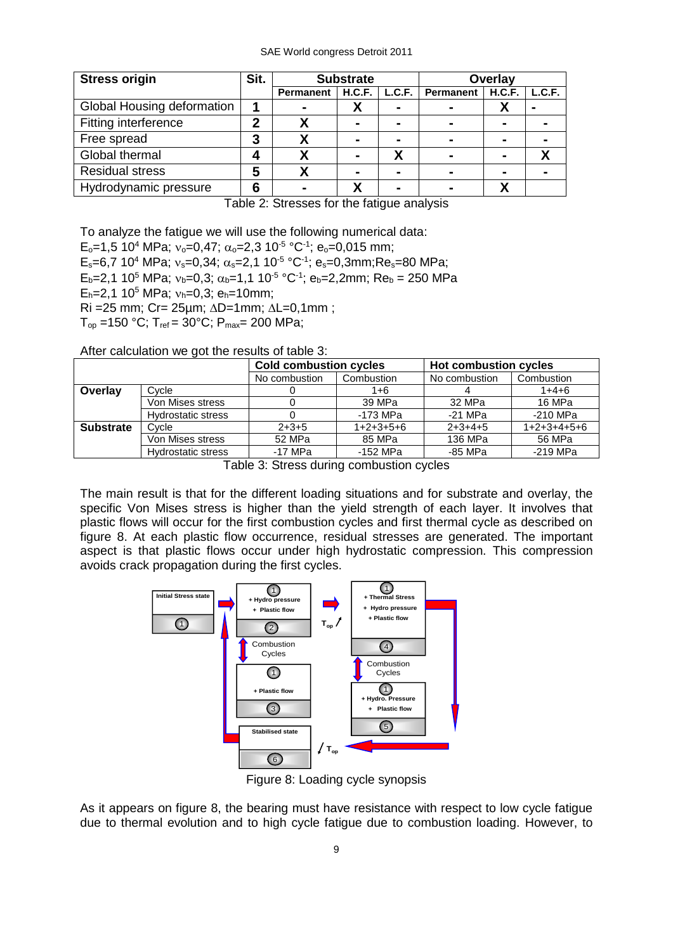| <b>Stress origin</b>       | Sit. | <b>Substrate</b> |                | Overlay        |                |                |        |
|----------------------------|------|------------------|----------------|----------------|----------------|----------------|--------|
|                            |      | Permanent        | H.C.F.         | L.C.F.         | Permanent      | H.C.F.         | L.C.F. |
| Global Housing deformation |      | $\blacksquare$   | Λ              | $\blacksquare$ | $\blacksquare$ |                |        |
| Fitting interference       | 2    |                  | $\blacksquare$ | $\blacksquare$ | $\blacksquare$ | $\blacksquare$ |        |
| Free spread                | 3    |                  | $\blacksquare$ | $\blacksquare$ | $\blacksquare$ | $\blacksquare$ |        |
| Global thermal             | 4    |                  | $\blacksquare$ | χ              | $\blacksquare$ | $\blacksquare$ |        |
| <b>Residual stress</b>     | 5    |                  |                | $\blacksquare$ | $\blacksquare$ | $\blacksquare$ |        |
| Hydrodynamic pressure      | 6    |                  |                | -              | -              |                |        |

Table 2: Stresses for the fatigue analysis

To analyze the fatigue we will use the following numerical data:

E<sub>o</sub>=1,5 10<sup>4</sup> MPa; v<sub>o</sub>=0,47;  $\alpha_{\rm o}$ =2,3 10<sup>-5</sup> °C<sup>-1</sup>; e<sub>o</sub>=0,015 mm;

E<sub>s</sub>=6,7 10<sup>4</sup> MPa; v<sub>s</sub>=0,34;  $\alpha_{\rm s}$ =2,1 10<sup>-5</sup> °C<sup>-1</sup>; e<sub>s</sub>=0,3mm;Re<sub>s</sub>=80 MPa;

 $E_b = 2,1$  10<sup>5</sup> MPa;  $v_b = 0,3$ ;  $\alpha_b = 1,1$  10<sup>-5</sup> °C<sup>-1</sup>;  $e_b = 2,2$ mm; R $e_b = 250$  MPa

 $E_h = 2.1 10^5$  MPa;  $v_h = 0.3$ ;  $e_h = 10$ mm;

 $Ri = 25$  mm;  $Cr = 25 \mu m$ ;  $\Delta D = 1$ mm;  $\Delta L = 0,1$ mm;

 $T_{op}$  =150 °C;  $T_{ref}$  = 30°C;  $P_{max}$  = 200 MPa;

After calculation we got the results of table 3:

|                  |                           | <b>Cold combustion cycles</b> |             | <b>Hot combustion cycles</b> |               |  |
|------------------|---------------------------|-------------------------------|-------------|------------------------------|---------------|--|
|                  |                           | No combustion                 | Combustion  | No combustion                | Combustion    |  |
| Overlay          | Cycle                     |                               | 1+6         |                              | $1+4+6$       |  |
|                  | Von Mises stress          |                               | 39 MPa      | 32 MPa                       | 16 MPa        |  |
|                  | <b>Hydrostatic stress</b> |                               | -173 MPa    | $-21$ MPa                    | -210 MPa      |  |
| <b>Substrate</b> | Cycle                     | $2+3+5$                       | $1+2+3+5+6$ | $2+3+4+5$                    | $1+2+3+4+5+6$ |  |
|                  | Von Mises stress          | 52 MPa                        | 85 MPa      | 136 MPa                      | 56 MPa        |  |
|                  | <b>Hydrostatic stress</b> | $-17$ MPa                     | -152 MPa    | -85 MPa                      | -219 MPa      |  |

Table 3: Stress during combustion cycles

The main result is that for the different loading situations and for substrate and overlay, the specific Von Mises stress is higher than the yield strength of each layer. It involves that plastic flows will occur for the first combustion cycles and first thermal cycle as described on figure 8. At each plastic flow occurrence, residual stresses are generated. The important aspect is that plastic flows occur under high hydrostatic compression. This compression avoids crack propagation during the first cycles.



Figure 8: Loading cycle synopsis

As it appears on figure 8, the bearing must have resistance with respect to low cycle fatigue due to thermal evolution and to high cycle fatigue due to combustion loading. However, to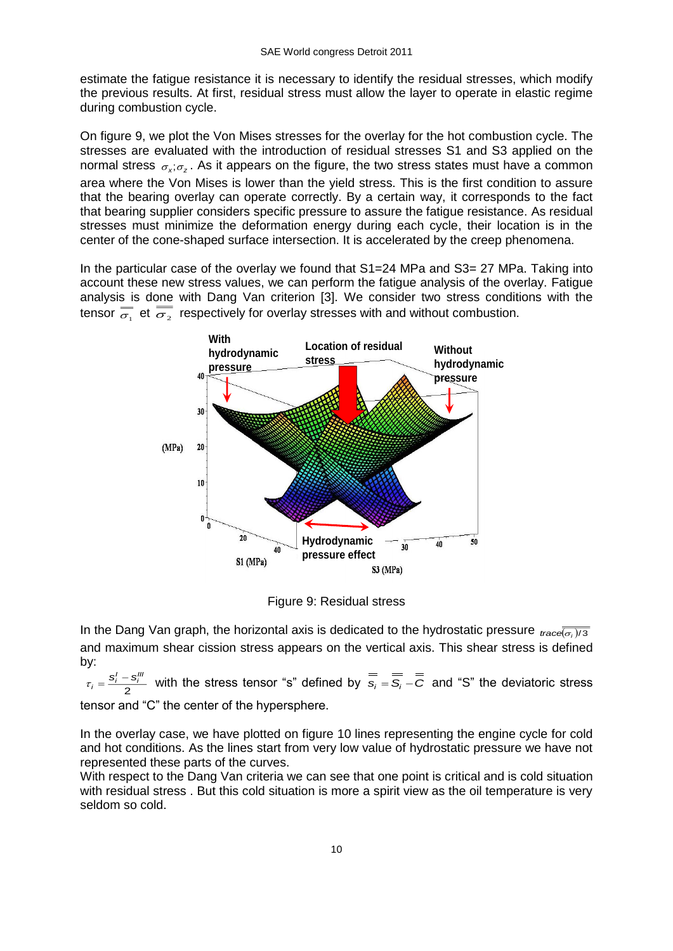estimate the fatigue resistance it is necessary to identify the residual stresses, which modify the previous results. At first, residual stress must allow the layer to operate in elastic regime during combustion cycle.

On figure 9, we plot the Von Mises stresses for the overlay for the hot combustion cycle. The stresses are evaluated with the introduction of residual stresses S1 and S3 applied on the normal stress  $\sigma_{x}$ ; $\sigma_{z}$ . As it appears on the figure, the two stress states must have a common area where the Von Mises is lower than the yield stress. This is the first condition to assure that the bearing overlay can operate correctly. By a certain way, it corresponds to the fact that bearing supplier considers specific pressure to assure the fatigue resistance. As residual stresses must minimize the deformation energy during each cycle, their location is in the center of the cone-shaped surface intersection. It is accelerated by the creep phenomena.

In the particular case of the overlay we found that S1=24 MPa and S3= 27 MPa. Taking into account these new stress values, we can perform the fatigue analysis of the overlay. Fatigue analysis is done with Dang Van criterion [3]. We consider two stress conditions with the tensor  $\overline{\overline{\sigma_1}}$  et  $\overline{\overline{\sigma_2}}$  respectively for overlay stresses with and without combustion.



Figure 9: Residual stress

In the Dang Van graph, the horizontal axis is dedicated to the hydrostatic pressure  $_{\text{trace}}\overline{(\sigma_i)/3}$ and maximum shear cission stress appears on the vertical axis. This shear stress is defined by:

2  $\tau_i = \frac{s_i' - s_i'''}{2}$  with the stress tensor "s" defined by  $\overline{s_i} = \overline{\overline{s_i}} - \overline{\overline{c}}$  and "S" the deviatoric stress tensor and "C" the center of the hypersphere.

In the overlay case, we have plotted on figure 10 lines representing the engine cycle for cold and hot conditions. As the lines start from very low value of hydrostatic pressure we have not represented these parts of the curves.

With respect to the Dang Van criteria we can see that one point is critical and is cold situation with residual stress . But this cold situation is more a spirit view as the oil temperature is very seldom so cold.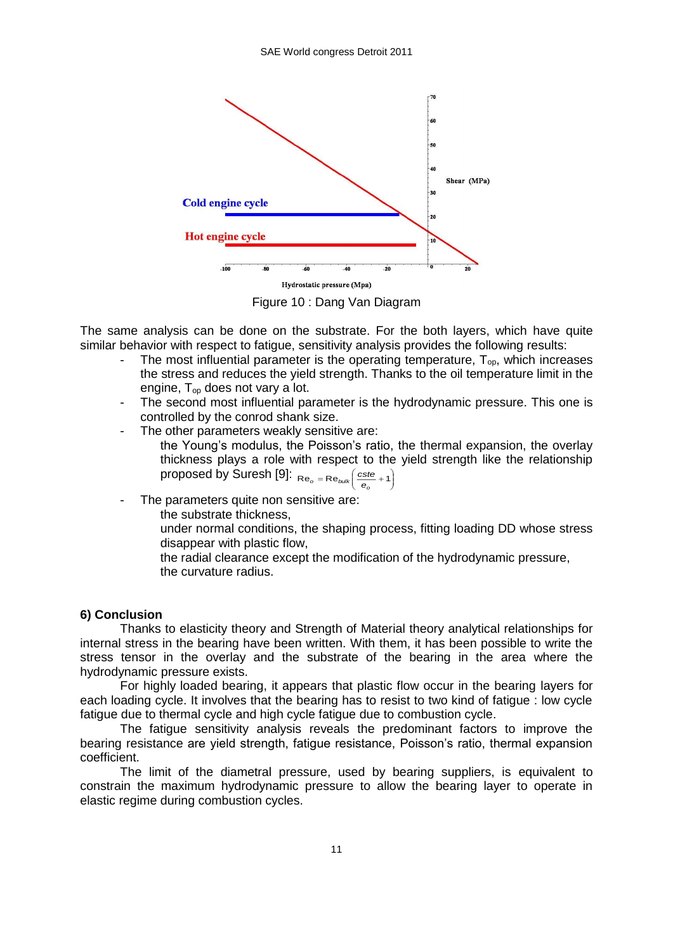

Figure 10 : Dang Van Diagram

The same analysis can be done on the substrate. For the both layers, which have quite similar behavior with respect to fatigue, sensitivity analysis provides the following results:

- The most influential parameter is the operating temperature,  $T_{op}$ , which increases the stress and reduces the yield strength. Thanks to the oil temperature limit in the engine, Top does not vary a lot.
- The second most influential parameter is the hydrodynamic pressure. This one is controlled by the conrod shank size.
- The other parameters weakly sensitive are:
	- the Young's modulus, the Poisson's ratio, the thermal expansion, the overlay thickness plays a role with respect to the yield strength like the relationship proposed by Suresh [9]: J  $\left(\frac{\text{cste}}{e_o}+1\right)$  $Re_o = Re_{bulk} \left( \frac{cste}{e_o} + 1 \right)$
- The parameters quite non sensitive are:

the substrate thickness,

under normal conditions, the shaping process, fitting loading DD whose stress disappear with plastic flow,

the radial clearance except the modification of the hydrodynamic pressure, the curvature radius.

## **6) Conclusion**

Thanks to elasticity theory and Strength of Material theory analytical relationships for internal stress in the bearing have been written. With them, it has been possible to write the stress tensor in the overlay and the substrate of the bearing in the area where the hydrodynamic pressure exists.

For highly loaded bearing, it appears that plastic flow occur in the bearing layers for each loading cycle. It involves that the bearing has to resist to two kind of fatigue : low cycle fatigue due to thermal cycle and high cycle fatigue due to combustion cycle.

The fatigue sensitivity analysis reveals the predominant factors to improve the bearing resistance are yield strength, fatigue resistance, Poisson's ratio, thermal expansion coefficient.

The limit of the diametral pressure, used by bearing suppliers, is equivalent to constrain the maximum hydrodynamic pressure to allow the bearing layer to operate in elastic regime during combustion cycles.